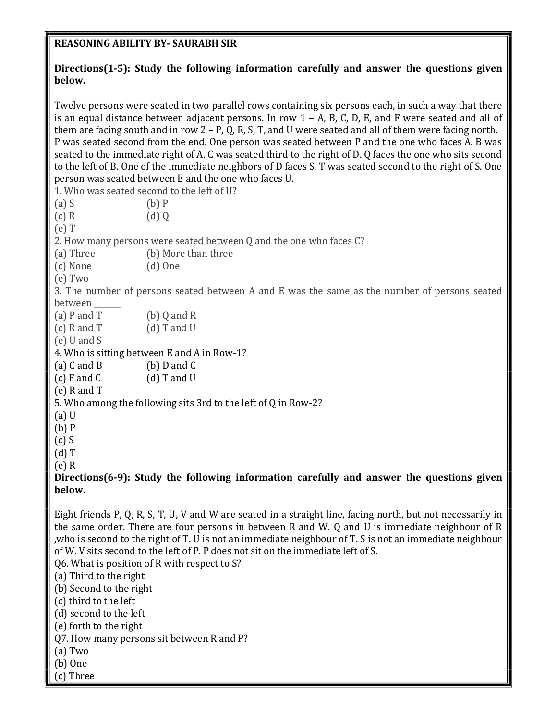## REASONING ABILITY BY- SAURABH SIR

## Directions(1-5): Study the following information carefully and answer the questions given below.

Twelve persons were seated in two parallel rows containing six persons each, in such a way that there is an equal distance between adjacent persons. In row  $1 - A$ , B, C, D, E, and F were seated and all of them are facing south and in row  $2 - P$ , Q, R, S, T, and U were seated and all of them were facing north. P was seated second from the end. One person was seated between P and the one who faces A. B was seated to the immediate right of A. C was seated third to the right of D. Q faces the one who sits second to the left of B. One of the immediate neighbors of D faces S. T was seated second to the right of S. One person was seated between E and the one who faces U.

1. Who was seated second to the left of U?  $(a) S$  (b) P  $(c) R$  (d) Q (e) T 2. How many persons were seated between Q and the one who faces C? (a) Three (b) More than three (c) None (d) One (e) Two 3. The number of persons seated between A and E was the same as the number of persons seated between (a) P and T  $(b)$  Q and R  $(c)$  R and T  $(d)$  T and U (e) U and S 4. Who is sitting between E and A in Row-1? (a) C and B (b) D and C  $(c)$  F and C  $(d)$  T and U (e) R and T 5. Who among the following sits 3rd to the left of Q in Row-2? (a) U (b) P (c) S (d) T (e) R

Directions(6-9): Study the following information carefully and answer the questions given below.

Eight friends P, Q, R, S, T, U, V and W are seated in a straight line, facing north, but not necessarily in the same order. There are four persons in between R and W. Q and U is immediate neighbour of R ,who is second to the right of T. U is not an immediate neighbour of T. S is not an immediate neighbour of W. V sits second to the left of P. P does not sit on the immediate left of S. Q6. What is position of R with respect to S? (a) Third to the right (b) Second to the right (c) third to the left (d) second to the left (e) forth to the right Q7. How many persons sit between R and P? (a) Two (b) One

(c) Three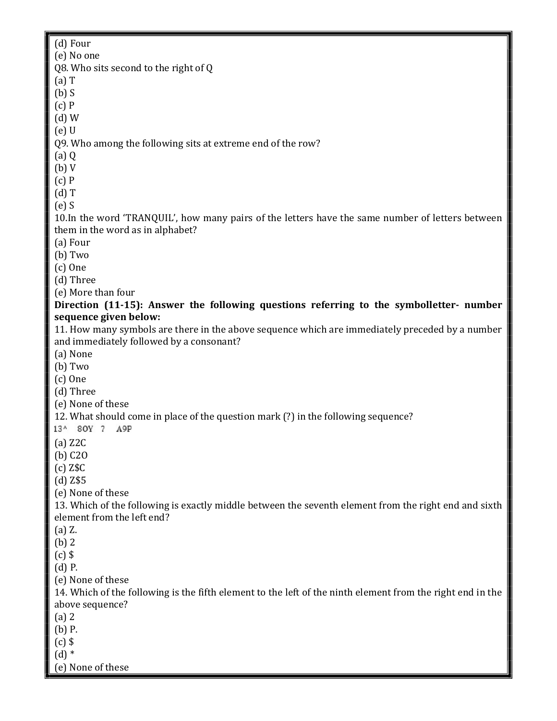(d) Four (e) No one Q8. Who sits second to the right of Q (a) T  $(b)$  S (c) P (d) W (e) U Q9. Who among the following sits at extreme end of the row? (a) Q (b) V (c) P (d) T (e) S 10.In the word 'TRANQUIL', how many pairs of the letters have the same number of letters between them in the word as in alphabet? (a) Four (b) Two (c) One (d) Three (e) More than four Direction (11-15): Answer the following questions referring to the symbolletter- number sequence given below: 11. How many symbols are there in the above sequence which are immediately preceded by a number and immediately followed by a consonant? (a) None (b) Two (c) One (d) Three (e) None of these 12. What should come in place of the question mark (?) in the following sequence? 13^ 80Y 7 A9P (a) Z2C (b) C2O (c) Z\$C (d) Z\$5 (e) None of these 13. Which of the following is exactly middle between the seventh element from the right end and sixth element from the left end? (a) Z. (b) 2  $(c)$  \$ (d) P. (e) None of these 14. Which of the following is the fifth element to the left of the ninth element from the right end in the above sequence? (a) 2 (b) P.  $(c)$  \$  $(d)$   $*$ (e) None of these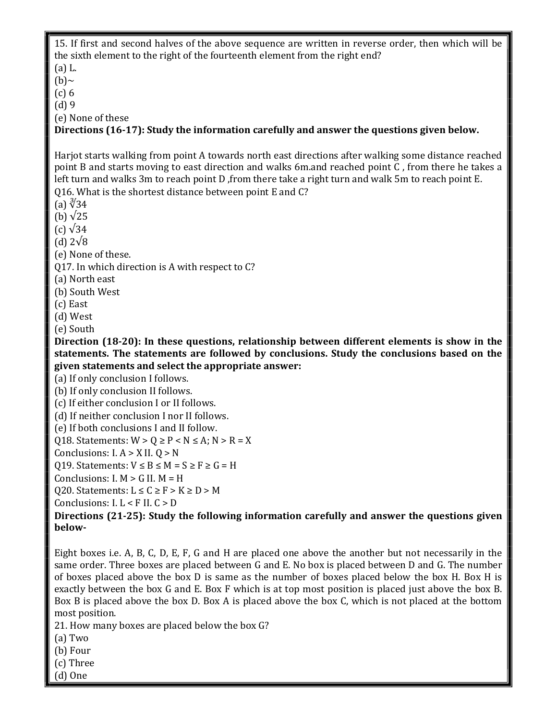15. If first and second halves of the above sequence are written in reverse order, then which will be the sixth element to the right of the fourteenth element from the right end? (a) L.  $(b)~$ (c) 6 (d) 9 (e) None of these Directions (16-17): Study the information carefully and answer the questions given below. Harjot starts walking from point A towards north east directions after walking some distance reached point B and starts moving to east direction and walks 6m.and reached point C , from there he takes a left turn and walks 3m to reach point D ,from there take a right turn and walk 5m to reach point E. Q16. What is the shortest distance between point E and C? (a) ∛34 (b)  $\sqrt{25}$  $(c)$   $\sqrt{34}$ (d) 2√8 (e) None of these. Q17. In which direction is A with respect to C? (a) North east (b) South West (c) East (d) West (e) South Direction (18-20): In these questions, relationship between different elements is show in the statements. The statements are followed by conclusions. Study the conclusions based on the given statements and select the appropriate answer: (a) If only conclusion I follows. (b) If only conclusion II follows. (c) If either conclusion I or II follows. (d) If neither conclusion I nor II follows. (e) If both conclusions I and II follow. Q18. Statements:  $W > Q \ge P < N \le A$ ;  $N > R = X$ Conclusions:  $I. A > X II. Q > N$ Q19. Statements:  $V \leq B \leq M = S \geq F \geq G = H$ Conclusions:  $I. M > G II. M = H$ Q20. Statements:  $L \le C \ge F > K \ge D > M$ Conclusions: I. L < F II. C > D Directions (21-25): Study the following information carefully and answer the questions given below-Eight boxes i.e. A, B, C, D, E, F, G and H are placed one above the another but not necessarily in the same order. Three boxes are placed between G and E. No box is placed between D and G. The number of boxes placed above the box D is same as the number of boxes placed below the box H. Box H is exactly between the box G and E. Box F which is at top most position is placed just above the box B. Box B is placed above the box D. Box A is placed above the box C, which is not placed at the bottom

most position.

21. How many boxes are placed below the box G?

- (a) Two
- (b) Four
- (c) Three
- (d) One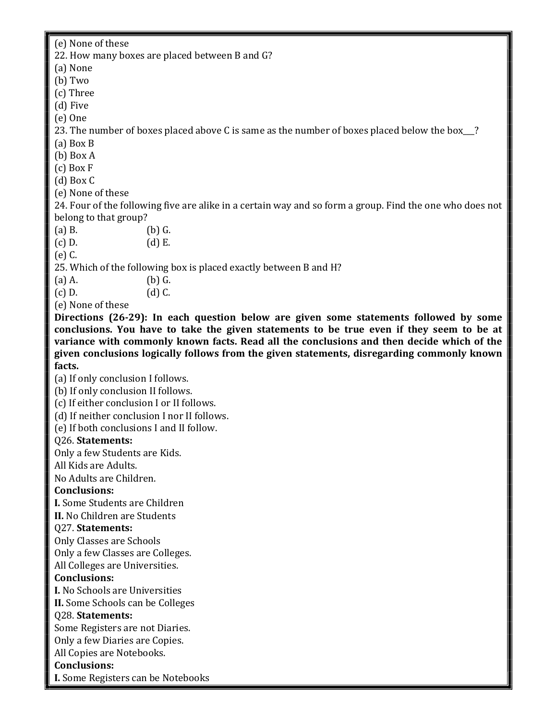(e) None of these

22. How many boxes are placed between B and G?

(a) None

(b) Two

(c) Three

(d) Five

(e) One

23. The number of boxes placed above C is same as the number of boxes placed below the box\_\_?

(a) Box B

(b) Box A

(c) Box F

(d) Box C

(e) None of these

24. Four of the following five are alike in a certain way and so form a group. Find the one who does not belong to that group?

(a) B. (b) G.

(c) D. (d) E.

(e) C.

25. Which of the following box is placed exactly between B and H?

(a) A. (b) G.

 $(c) D.$   $(d) C.$ 

(e) None of these

Directions (26-29): In each question below are given some statements followed by some conclusions. You have to take the given statements to be true even if they seem to be at variance with commonly known facts. Read all the conclusions and then decide which of the given conclusions logically follows from the given statements, disregarding commonly known facts.

(a) If only conclusion I follows.

(b) If only conclusion II follows.

(c) If either conclusion I or II follows.

(d) If neither conclusion I nor II follows.

(e) If both conclusions I and II follow.

## Q26. Statements:

Only a few Students are Kids.

All Kids are Adults.

No Adults are Children.

## Conclusions:

I. Some Students are Children

II. No Children are Students

## Q27. Statements:

Only Classes are Schools

Only a few Classes are Colleges.

All Colleges are Universities.

## Conclusions:

I. No Schools are Universities II. Some Schools can be Colleges

## Q28. Statements:

Some Registers are not Diaries.

Only a few Diaries are Copies.

All Copies are Notebooks.

# Conclusions:

I. Some Registers can be Notebooks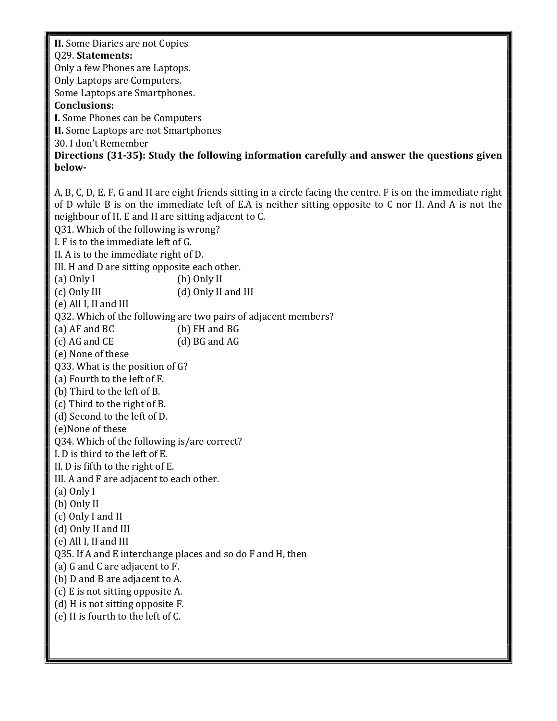II. Some Diaries are not Copies

#### Q29. Statements:

Only a few Phones are Laptops. Only Laptops are Computers. Some Laptops are Smartphones.

#### Conclusions:

I. Some Phones can be Computers II. Some Laptops are not Smartphones

30. I don't Remember

Directions (31-35): Study the following information carefully and answer the questions given below-

A, B, C, D, E, F, G and H are eight friends sitting in a circle facing the centre. F is on the immediate right of D while B is on the immediate left of E.A is neither sitting opposite to C nor H. And A is not the neighbour of H. E and H are sitting adjacent to C. Q31. Which of the following is wrong? I. F is to the immediate left of G. II. A is to the immediate right of D. III. H and D are sitting opposite each other. (a) Only I (b) Only II (c) Only III (d) Only II and III (e) All I, II and III Q32. Which of the following are two pairs of adjacent members? (a) AF and BC (b) FH and BG (c) AG and CE (d) BG and AG (e) None of these Q33. What is the position of G? (a) Fourth to the left of F. (b) Third to the left of B. (c) Third to the right of B. (d) Second to the left of D. (e)None of these Q34. Which of the following is/are correct? I. D is third to the left of E. II. D is fifth to the right of E. III. A and F are adjacent to each other. (a) Only I (b) Only II (c) Only I and II (d) Only II and III (e) All I, II and III Q35. If A and E interchange places and so do F and H, then (a) G and C are adjacent to F. (b) D and B are adjacent to A. (c) E is not sitting opposite A. (d) H is not sitting opposite F. (e) H is fourth to the left of C.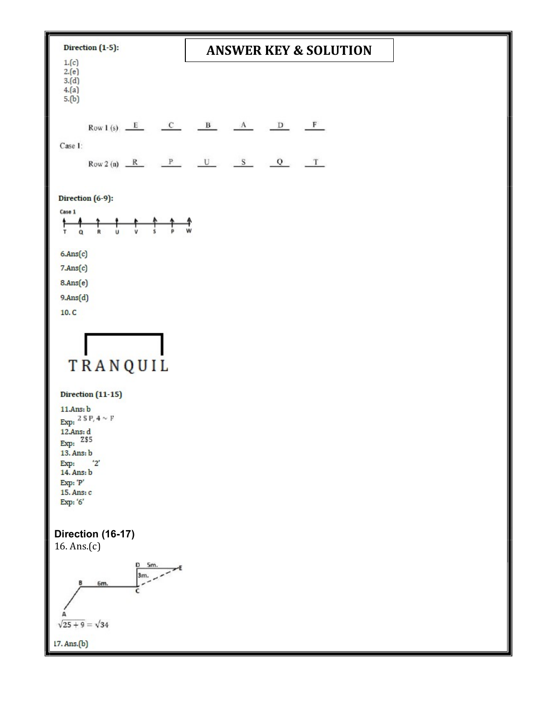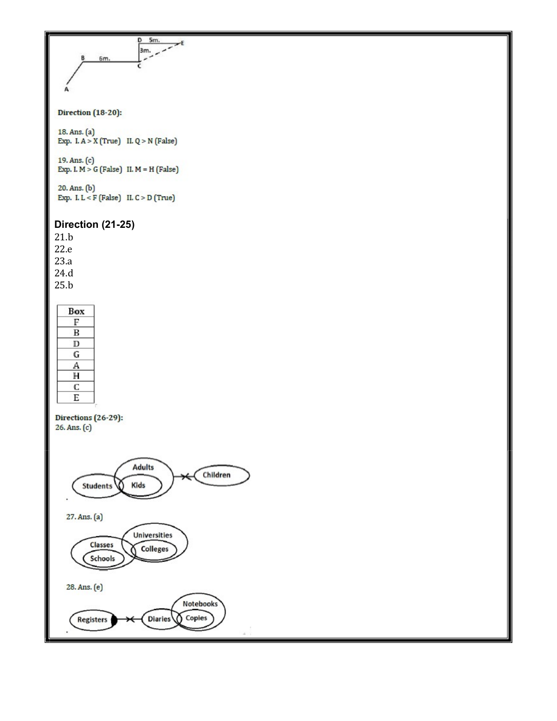

#### **Direction** (18-20):

18. Ans. (a)<br>Exp. I. A > X (True) II. Q > N (False)

19. Ans. (c)<br>Exp. I.  $M > G$  (False) II.  $M = H$  (False)

20. Ans. (b) Exp. I.  $L < F$  (False) II.  $C > D$  (True)

#### Direction (21-25)

21.b 22.e 23.a 24.d 25.b



Directions (26-29):  $26. Ans. (c)$